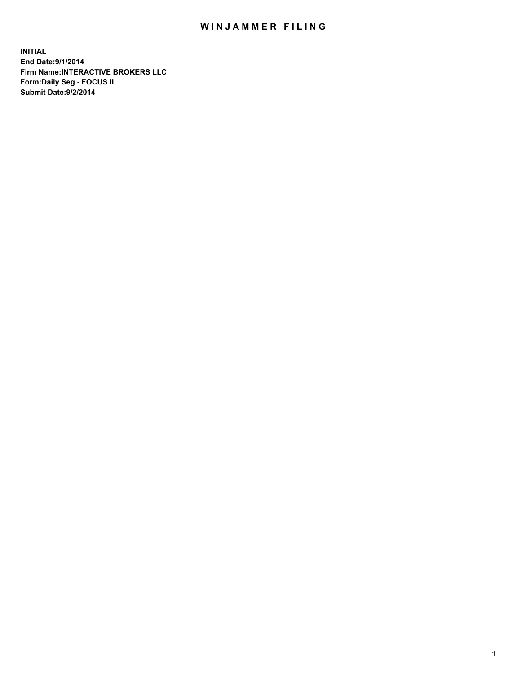## WIN JAMMER FILING

**INITIAL End Date:9/1/2014 Firm Name:INTERACTIVE BROKERS LLC Form:Daily Seg - FOCUS II Submit Date:9/2/2014**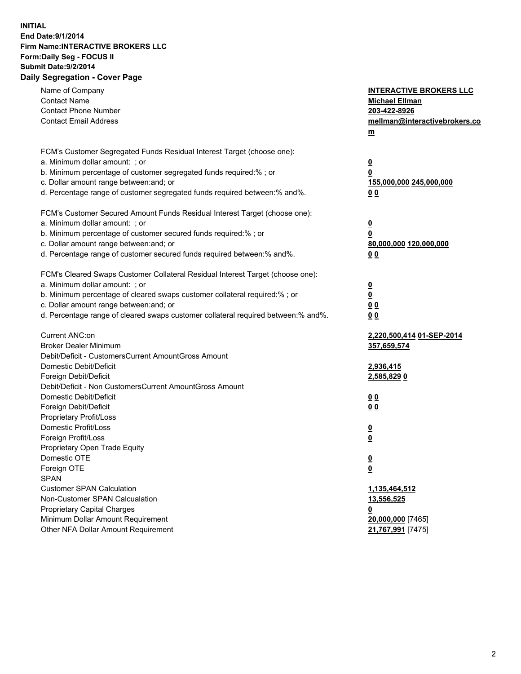## **INITIAL End Date:9/1/2014 Firm Name:INTERACTIVE BROKERS LLC Form:Daily Seg - FOCUS II Submit Date:9/2/2014 Daily Segregation - Cover Page**

| Name of Company<br><b>Contact Name</b><br><b>Contact Phone Number</b><br><b>Contact Email Address</b>    | <b>INTERACTIVE BROKERS LLC</b><br><b>Michael Ellman</b><br>203-422-8926<br>mellman@interactivebrokers.co<br>$\underline{\mathbf{m}}$ |
|----------------------------------------------------------------------------------------------------------|--------------------------------------------------------------------------------------------------------------------------------------|
| FCM's Customer Segregated Funds Residual Interest Target (choose one):<br>a. Minimum dollar amount: ; or |                                                                                                                                      |
| b. Minimum percentage of customer segregated funds required:% ; or                                       | $\overline{\mathbf{0}}$<br>0                                                                                                         |
| c. Dollar amount range between: and; or                                                                  | 155,000,000 245,000,000                                                                                                              |
| d. Percentage range of customer segregated funds required between:% and%.                                | 00                                                                                                                                   |
| FCM's Customer Secured Amount Funds Residual Interest Target (choose one):                               |                                                                                                                                      |
| a. Minimum dollar amount: ; or                                                                           | $\overline{\mathbf{0}}$                                                                                                              |
| b. Minimum percentage of customer secured funds required:% ; or                                          | 0                                                                                                                                    |
| c. Dollar amount range between: and; or                                                                  | 80,000,000 120,000,000                                                                                                               |
| d. Percentage range of customer secured funds required between:% and%.                                   | 00                                                                                                                                   |
| FCM's Cleared Swaps Customer Collateral Residual Interest Target (choose one):                           |                                                                                                                                      |
| a. Minimum dollar amount: ; or                                                                           | $\overline{\mathbf{0}}$                                                                                                              |
| b. Minimum percentage of cleared swaps customer collateral required:% ; or                               | $\underline{\mathbf{0}}$                                                                                                             |
| c. Dollar amount range between: and; or                                                                  | 0 <sub>0</sub>                                                                                                                       |
| d. Percentage range of cleared swaps customer collateral required between:% and%.                        | 0 <sub>0</sub>                                                                                                                       |
| Current ANC:on                                                                                           | 2,220,500,414 01-SEP-2014                                                                                                            |
| <b>Broker Dealer Minimum</b>                                                                             | 357,659,574                                                                                                                          |
| Debit/Deficit - CustomersCurrent AmountGross Amount                                                      |                                                                                                                                      |
| Domestic Debit/Deficit                                                                                   | 2,936,415                                                                                                                            |
| Foreign Debit/Deficit<br>Debit/Deficit - Non CustomersCurrent AmountGross Amount                         | 2,585,829 0                                                                                                                          |
| Domestic Debit/Deficit                                                                                   | 0 <sub>0</sub>                                                                                                                       |
| Foreign Debit/Deficit                                                                                    | 0 <sub>0</sub>                                                                                                                       |
| Proprietary Profit/Loss                                                                                  |                                                                                                                                      |
| Domestic Profit/Loss                                                                                     | $\overline{\mathbf{0}}$                                                                                                              |
| Foreign Profit/Loss                                                                                      | $\underline{\mathbf{0}}$                                                                                                             |
| Proprietary Open Trade Equity                                                                            |                                                                                                                                      |
| Domestic OTE                                                                                             | <u>0</u>                                                                                                                             |
| Foreign OTE                                                                                              | <u>0</u>                                                                                                                             |
| <b>SPAN</b>                                                                                              |                                                                                                                                      |
| <b>Customer SPAN Calculation</b>                                                                         | 1,135,464,512                                                                                                                        |
| Non-Customer SPAN Calcualation                                                                           | 13,556,525                                                                                                                           |
| Proprietary Capital Charges<br>Minimum Dollar Amount Requirement                                         | 0<br>20,000,000 [7465]                                                                                                               |
| Other NFA Dollar Amount Requirement                                                                      | 21,767,991 [7475]                                                                                                                    |
|                                                                                                          |                                                                                                                                      |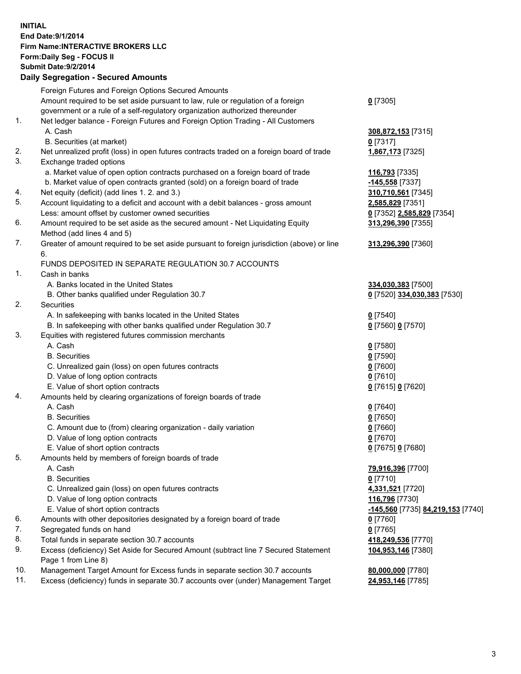## **INITIAL End Date:9/1/2014 Firm Name:INTERACTIVE BROKERS LLC Form:Daily Seg - FOCUS II Submit Date:9/2/2014 Daily Segregation - Secured Amounts**

|     | Foreign Futures and Foreign Options Secured Amounts                                                        |                                   |
|-----|------------------------------------------------------------------------------------------------------------|-----------------------------------|
|     | Amount required to be set aside pursuant to law, rule or regulation of a foreign                           | $0$ [7305]                        |
|     | government or a rule of a self-regulatory organization authorized thereunder                               |                                   |
| 1.  | Net ledger balance - Foreign Futures and Foreign Option Trading - All Customers                            |                                   |
|     | A. Cash                                                                                                    | 308,872,153 [7315]                |
|     | B. Securities (at market)                                                                                  | $0$ [7317]                        |
| 2.  | Net unrealized profit (loss) in open futures contracts traded on a foreign board of trade                  | 1,867,173 [7325]                  |
| 3.  | Exchange traded options                                                                                    |                                   |
|     | a. Market value of open option contracts purchased on a foreign board of trade                             | 116,793 [7335]                    |
|     | b. Market value of open contracts granted (sold) on a foreign board of trade                               | -145,558 [7337]                   |
| 4.  | Net equity (deficit) (add lines 1.2. and 3.)                                                               | 310,710,561 [7345]                |
| 5.  | Account liquidating to a deficit and account with a debit balances - gross amount                          | 2,585,829 [7351]                  |
|     | Less: amount offset by customer owned securities                                                           | 0 [7352] 2,585,829 [7354]         |
| 6.  | Amount required to be set aside as the secured amount - Net Liquidating Equity                             | 313,296,390 [7355]                |
|     | Method (add lines 4 and 5)                                                                                 |                                   |
| 7.  | Greater of amount required to be set aside pursuant to foreign jurisdiction (above) or line                | 313,296,390 [7360]                |
|     | 6.                                                                                                         |                                   |
|     | FUNDS DEPOSITED IN SEPARATE REGULATION 30.7 ACCOUNTS                                                       |                                   |
| 1.  | Cash in banks                                                                                              |                                   |
|     | A. Banks located in the United States                                                                      | 334,030,383 [7500]                |
|     | B. Other banks qualified under Regulation 30.7                                                             | 0 [7520] 334,030,383 [7530]       |
| 2.  | Securities                                                                                                 |                                   |
|     | A. In safekeeping with banks located in the United States                                                  | $Q$ [7540]                        |
|     | B. In safekeeping with other banks qualified under Regulation 30.7                                         | 0 [7560] 0 [7570]                 |
| 3.  | Equities with registered futures commission merchants                                                      |                                   |
|     | A. Cash                                                                                                    | $0$ [7580]                        |
|     | <b>B.</b> Securities                                                                                       | $0$ [7590]                        |
|     | C. Unrealized gain (loss) on open futures contracts                                                        | $0$ [7600]                        |
|     | D. Value of long option contracts                                                                          | $0$ [7610]                        |
|     | E. Value of short option contracts                                                                         | 0 [7615] 0 [7620]                 |
| 4.  | Amounts held by clearing organizations of foreign boards of trade                                          |                                   |
|     | A. Cash                                                                                                    | $Q$ [7640]                        |
|     | <b>B.</b> Securities                                                                                       | $0$ [7650]                        |
|     | C. Amount due to (from) clearing organization - daily variation                                            | $0$ [7660]                        |
|     | D. Value of long option contracts                                                                          | $0$ [7670]                        |
|     | E. Value of short option contracts                                                                         | 0 [7675] 0 [7680]                 |
| 5.  | Amounts held by members of foreign boards of trade                                                         |                                   |
|     | A. Cash                                                                                                    | 79,916,396 [7700]                 |
|     | <b>B.</b> Securities                                                                                       | $0$ [7710]                        |
|     | C. Unrealized gain (loss) on open futures contracts                                                        | 4,331,521 [7720]                  |
|     | D. Value of long option contracts                                                                          | 116,796 [7730]                    |
|     | E. Value of short option contracts                                                                         | -145,560 [7735] 84,219,153 [7740] |
| 6.  | Amounts with other depositories designated by a foreign board of trade                                     | $0$ [7760]                        |
| 7.  | Segregated funds on hand                                                                                   | $0$ [7765]                        |
| 8.  | Total funds in separate section 30.7 accounts                                                              | 418,249,536 [7770]                |
| 9.  | Excess (deficiency) Set Aside for Secured Amount (subtract line 7 Secured Statement<br>Page 1 from Line 8) | 104,953,146 [7380]                |
| 10. | Management Target Amount for Excess funds in separate section 30.7 accounts                                | 80,000,000 [7780]                 |
| 11. | Excess (deficiency) funds in separate 30.7 accounts over (under) Management Target                         | 24,953,146 [7785]                 |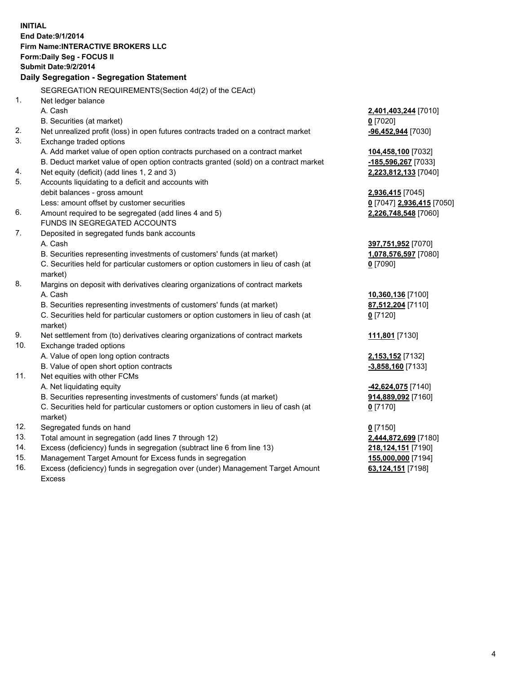**INITIAL End Date:9/1/2014 Firm Name:INTERACTIVE BROKERS LLC Form:Daily Seg - FOCUS II Submit Date:9/2/2014 Daily Segregation - Segregation Statement** SEGREGATION REQUIREMENTS(Section 4d(2) of the CEAct) 1. Net ledger balance A. Cash **2,401,403,244** [7010] B. Securities (at market) **0** [7020] 2. Net unrealized profit (loss) in open futures contracts traded on a contract market **-96,452,944** [7030] 3. Exchange traded options A. Add market value of open option contracts purchased on a contract market **104,458,100** [7032] B. Deduct market value of open option contracts granted (sold) on a contract market **-185,596,267** [7033] 4. Net equity (deficit) (add lines 1, 2 and 3) **2,223,812,133** [7040] 5. Accounts liquidating to a deficit and accounts with debit balances - gross amount **2,936,415** [7045] Less: amount offset by customer securities **0** [7047] **2,936,415** [7050] 6. Amount required to be segregated (add lines 4 and 5) **2,226,748,548** [7060] FUNDS IN SEGREGATED ACCOUNTS 7. Deposited in segregated funds bank accounts A. Cash **397,751,952** [7070] B. Securities representing investments of customers' funds (at market) **1,078,576,597** [7080] C. Securities held for particular customers or option customers in lieu of cash (at market) **0** [7090] 8. Margins on deposit with derivatives clearing organizations of contract markets A. Cash **10,360,136** [7100] B. Securities representing investments of customers' funds (at market) **87,512,204** [7110] C. Securities held for particular customers or option customers in lieu of cash (at market) **0** [7120] 9. Net settlement from (to) derivatives clearing organizations of contract markets **111,801** [7130] 10. Exchange traded options A. Value of open long option contracts **2,153,152** [7132] B. Value of open short option contracts **-3,858,160** [7133] 11. Net equities with other FCMs A. Net liquidating equity **-42,624,075** [7140] B. Securities representing investments of customers' funds (at market) **914,889,092** [7160] C. Securities held for particular customers or option customers in lieu of cash (at market) **0** [7170] 12. Segregated funds on hand **0** [7150] 13. Total amount in segregation (add lines 7 through 12) **2,444,872,699** [7180] 14. Excess (deficiency) funds in segregation (subtract line 6 from line 13) **218,124,151** [7190] 15. Management Target Amount for Excess funds in segregation **155,000,000** [7194]

16. Excess (deficiency) funds in segregation over (under) Management Target Amount Excess

**63,124,151** [7198]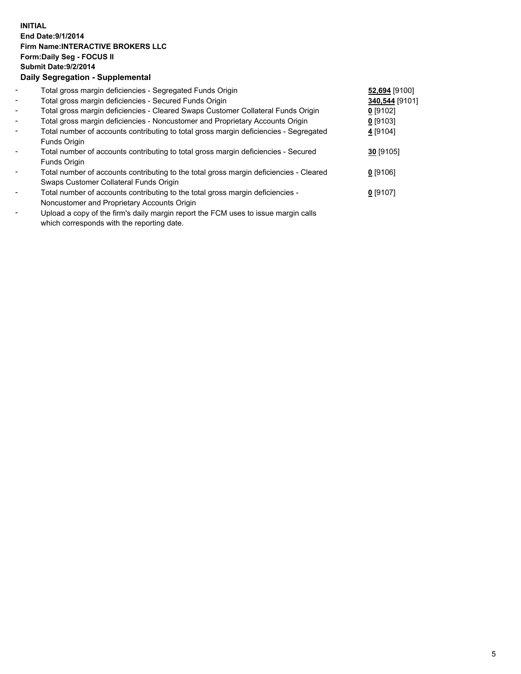## **INITIAL End Date:9/1/2014 Firm Name:INTERACTIVE BROKERS LLC Form:Daily Seg - FOCUS II Submit Date:9/2/2014 Daily Segregation - Supplemental**

| $\blacksquare$           | Total gross margin deficiencies - Segregated Funds Origin                              | 52,694 [9100]  |  |
|--------------------------|----------------------------------------------------------------------------------------|----------------|--|
| $\overline{\phantom{a}}$ | Total gross margin deficiencies - Secured Funds Origin                                 | 340,544 [9101] |  |
| $\blacksquare$           | Total gross margin deficiencies - Cleared Swaps Customer Collateral Funds Origin       | $0$ [9102]     |  |
| $\overline{\phantom{a}}$ | Total gross margin deficiencies - Noncustomer and Proprietary Accounts Origin          | $0$ [9103]     |  |
| $\blacksquare$           | Total number of accounts contributing to total gross margin deficiencies - Segregated  | 4 [9104]       |  |
|                          | Funds Origin                                                                           |                |  |
|                          | Total number of accounts contributing to total gross margin deficiencies - Secured     | $30$ [9105]    |  |
|                          | Funds Origin                                                                           |                |  |
|                          | Total number of accounts contributing to the total gross margin deficiencies - Cleared | $0$ [9106]     |  |
|                          | Swaps Customer Collateral Funds Origin                                                 |                |  |
|                          | Total number of accounts contributing to the total gross margin deficiencies -         | $0$ [9107]     |  |
|                          | Noncustomer and Proprietary Accounts Origin                                            |                |  |
|                          |                                                                                        |                |  |

- Upload a copy of the firm's daily margin report the FCM uses to issue margin calls which corresponds with the reporting date.